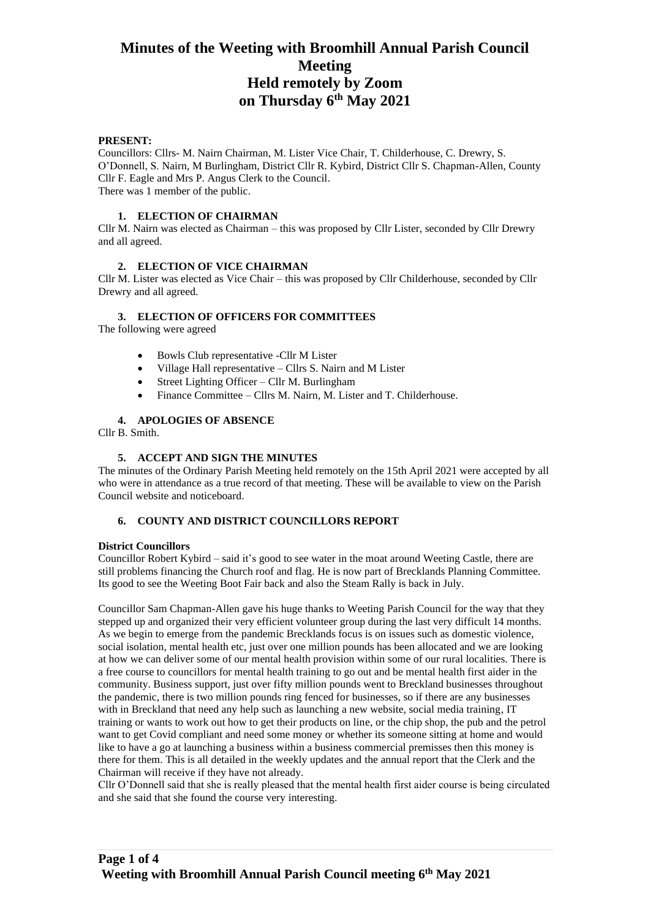#### **PRESENT:**

Councillors: Cllrs- M. Nairn Chairman, M. Lister Vice Chair, T. Childerhouse, C. Drewry, S. O'Donnell, S. Nairn, M Burlingham, District Cllr R. Kybird, District Cllr S. Chapman-Allen, County Cllr F. Eagle and Mrs P. Angus Clerk to the Council. There was 1 member of the public.

## **1. ELECTION OF CHAIRMAN**

Cllr M. Nairn was elected as Chairman – this was proposed by Cllr Lister, seconded by Cllr Drewry and all agreed.

## **2. ELECTION OF VICE CHAIRMAN**

Cllr M. Lister was elected as Vice Chair – this was proposed by Cllr Childerhouse, seconded by Cllr Drewry and all agreed.

## **3. ELECTION OF OFFICERS FOR COMMITTEES**

The following were agreed

- Bowls Club representative -Cllr M Lister
- Village Hall representative Cllrs S. Nairn and M Lister
- Street Lighting Officer Cllr M. Burlingham
- Finance Committee Cllrs M. Nairn, M. Lister and T. Childerhouse.

#### **4. APOLOGIES OF ABSENCE**

Cllr B. Smith.

#### **5. ACCEPT AND SIGN THE MINUTES**

The minutes of the Ordinary Parish Meeting held remotely on the 15th April 2021 were accepted by all who were in attendance as a true record of that meeting. These will be available to view on the Parish Council website and noticeboard.

#### **6. COUNTY AND DISTRICT COUNCILLORS REPORT**

#### **District Councillors**

Councillor Robert Kybird – said it's good to see water in the moat around Weeting Castle, there are still problems financing the Church roof and flag. He is now part of Brecklands Planning Committee. Its good to see the Weeting Boot Fair back and also the Steam Rally is back in July.

Councillor Sam Chapman-Allen gave his huge thanks to Weeting Parish Council for the way that they stepped up and organized their very efficient volunteer group during the last very difficult 14 months. As we begin to emerge from the pandemic Brecklands focus is on issues such as domestic violence, social isolation, mental health etc, just over one million pounds has been allocated and we are looking at how we can deliver some of our mental health provision within some of our rural localities. There is a free course to councillors for mental health training to go out and be mental health first aider in the community. Business support, just over fifty million pounds went to Breckland businesses throughout the pandemic, there is two million pounds ring fenced for businesses, so if there are any businesses with in Breckland that need any help such as launching a new website, social media training, IT training or wants to work out how to get their products on line, or the chip shop, the pub and the petrol want to get Covid compliant and need some money or whether its someone sitting at home and would like to have a go at launching a business within a business commercial premisses then this money is there for them. This is all detailed in the weekly updates and the annual report that the Clerk and the Chairman will receive if they have not already.

Cllr O'Donnell said that she is really pleased that the mental health first aider course is being circulated and she said that she found the course very interesting.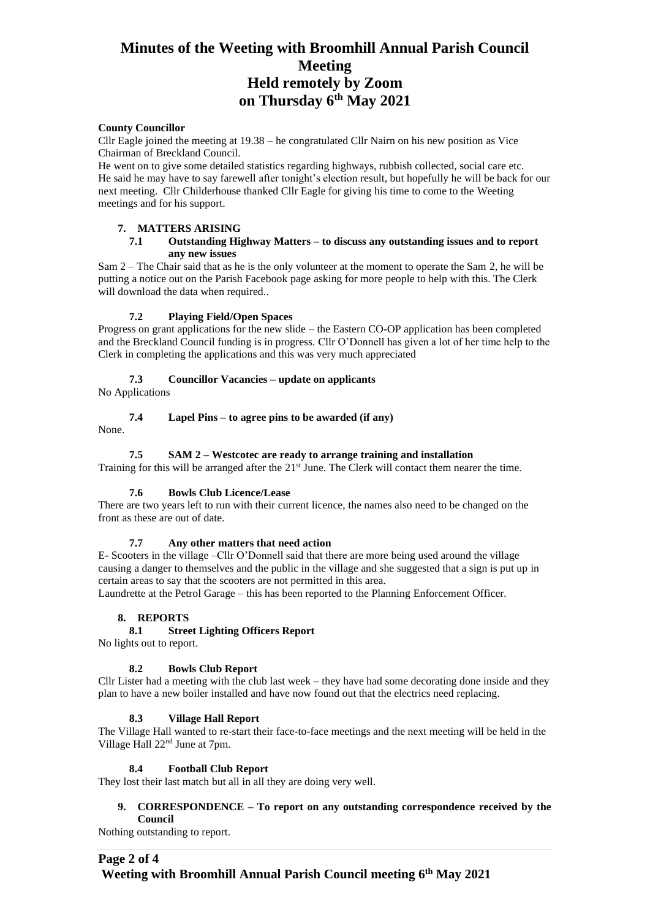#### **County Councillor**

Cllr Eagle joined the meeting at 19.38 – he congratulated Cllr Nairn on his new position as Vice Chairman of Breckland Council.

He went on to give some detailed statistics regarding highways, rubbish collected, social care etc. He said he may have to say farewell after tonight's election result, but hopefully he will be back for our next meeting. Cllr Childerhouse thanked Cllr Eagle for giving his time to come to the Weeting meetings and for his support.

#### **7. MATTERS ARISING**

#### **7.1 Outstanding Highway Matters – to discuss any outstanding issues and to report any new issues**

Sam 2 – The Chair said that as he is the only volunteer at the moment to operate the Sam 2, he will be putting a notice out on the Parish Facebook page asking for more people to help with this. The Clerk will download the data when required..

## **7.2 Playing Field/Open Spaces**

Progress on grant applications for the new slide – the Eastern CO-OP application has been completed and the Breckland Council funding is in progress. Cllr O'Donnell has given a lot of her time help to the Clerk in completing the applications and this was very much appreciated

#### **7.3 Councillor Vacancies – update on applicants**

No Applications

## **7.4 Lapel Pins – to agree pins to be awarded (if any)**

None.

## **7.5 SAM 2 – Westcotec are ready to arrange training and installation**

Training for this will be arranged after the  $21^{st}$  June. The Clerk will contact them nearer the time.

#### **7.6 Bowls Club Licence/Lease**

There are two years left to run with their current licence, the names also need to be changed on the front as these are out of date.

#### **7.7 Any other matters that need action**

E- Scooters in the village –Cllr O'Donnell said that there are more being used around the village causing a danger to themselves and the public in the village and she suggested that a sign is put up in certain areas to say that the scooters are not permitted in this area.

Laundrette at the Petrol Garage – this has been reported to the Planning Enforcement Officer.

#### **8. REPORTS**

## **8.1 Street Lighting Officers Report**

No lights out to report.

#### **8.2 Bowls Club Report**

Cllr Lister had a meeting with the club last week – they have had some decorating done inside and they plan to have a new boiler installed and have now found out that the electrics need replacing.

#### **8.3 Village Hall Report**

The Village Hall wanted to re-start their face-to-face meetings and the next meeting will be held in the Village Hall 22nd June at 7pm.

#### **8.4 Football Club Report**

They lost their last match but all in all they are doing very well.

## **9. CORRESPONDENCE – To report on any outstanding correspondence received by the Council**

Nothing outstanding to report.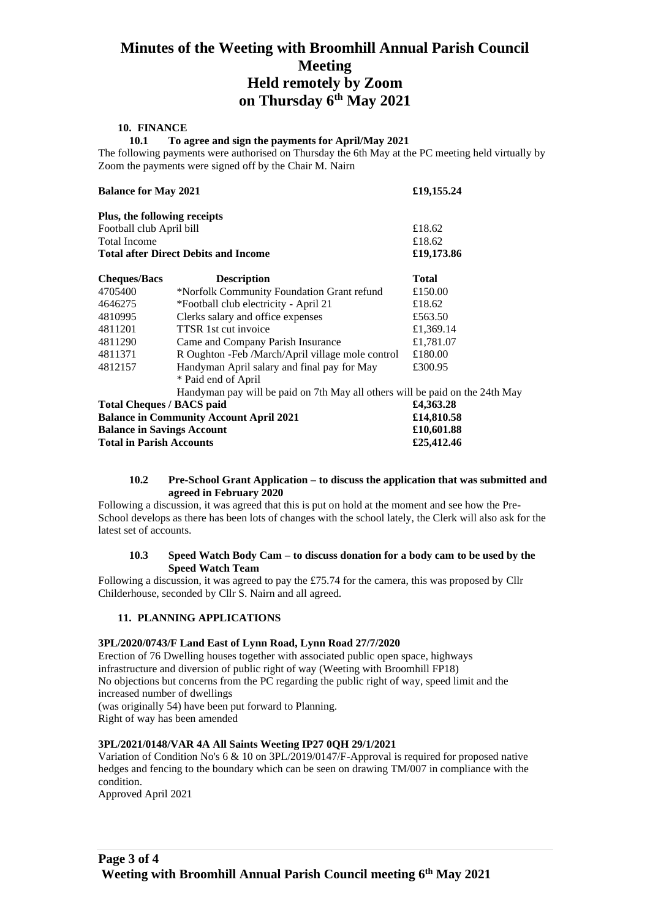#### **10. FINANCE**

**10.1 To agree and sign the payments for April/May 2021**

The following payments were authorised on Thursday the 6th May at the PC meeting held virtually by Zoom the payments were signed off by the Chair M. Nairn

| <b>Balance for May 2021</b>                    |                                                                              | £19,155.24   |
|------------------------------------------------|------------------------------------------------------------------------------|--------------|
| Plus, the following receipts                   |                                                                              |              |
| Football club April bill                       |                                                                              | £18.62       |
| <b>Total Income</b>                            |                                                                              | £18.62       |
| <b>Total after Direct Debits and Income</b>    |                                                                              | £19,173.86   |
| <b>Cheques/Bacs</b>                            | <b>Description</b>                                                           | <b>Total</b> |
| 4705400                                        | *Norfolk Community Foundation Grant refund                                   | £150.00      |
| 4646275                                        | *Football club electricity - April 21                                        | £18.62       |
| 4810995                                        | Clerks salary and office expenses                                            | £563.50      |
| 4811201                                        | <b>TTSR</b> 1st cut invoice                                                  | £1,369.14    |
| 4811290                                        | Came and Company Parish Insurance                                            | £1,781.07    |
| 4811371                                        | R Oughton - Feb / March/April village mole control                           | £180.00      |
| 4812157                                        | Handyman April salary and final pay for May                                  | £300.95      |
|                                                | * Paid end of April                                                          |              |
|                                                | Handyman pay will be paid on 7th May all others will be paid on the 24th May |              |
| <b>Total Cheques / BACS paid</b>               |                                                                              | £4,363.28    |
| <b>Balance in Community Account April 2021</b> |                                                                              | £14,810.58   |
| <b>Balance in Savings Account</b>              |                                                                              | £10,601.88   |
| <b>Total in Parish Accounts</b>                |                                                                              | £25,412.46   |

#### **10.2 Pre-School Grant Application – to discuss the application that was submitted and agreed in February 2020**

Following a discussion, it was agreed that this is put on hold at the moment and see how the Pre-School develops as there has been lots of changes with the school lately, the Clerk will also ask for the latest set of accounts.

#### **10.3 Speed Watch Body Cam – to discuss donation for a body cam to be used by the Speed Watch Team**

Following a discussion, it was agreed to pay the £75.74 for the camera, this was proposed by Cllr Childerhouse, seconded by Cllr S. Nairn and all agreed.

#### **11. PLANNING APPLICATIONS**

#### **3PL/2020/0743/F Land East of Lynn Road, Lynn Road 27/7/2020**

Erection of 76 Dwelling houses together with associated public open space, highways infrastructure and diversion of public right of way (Weeting with Broomhill FP18) No objections but concerns from the PC regarding the public right of way, speed limit and the increased number of dwellings (was originally 54) have been put forward to Planning.

Right of way has been amended

#### **3PL/2021/0148/VAR 4A All Saints Weeting IP27 0QH 29/1/2021**

Variation of Condition No's 6 & 10 on 3PL/2019/0147/F-Approval is required for proposed native hedges and fencing to the boundary which can be seen on drawing TM/007 in compliance with the condition.

Approved April 2021